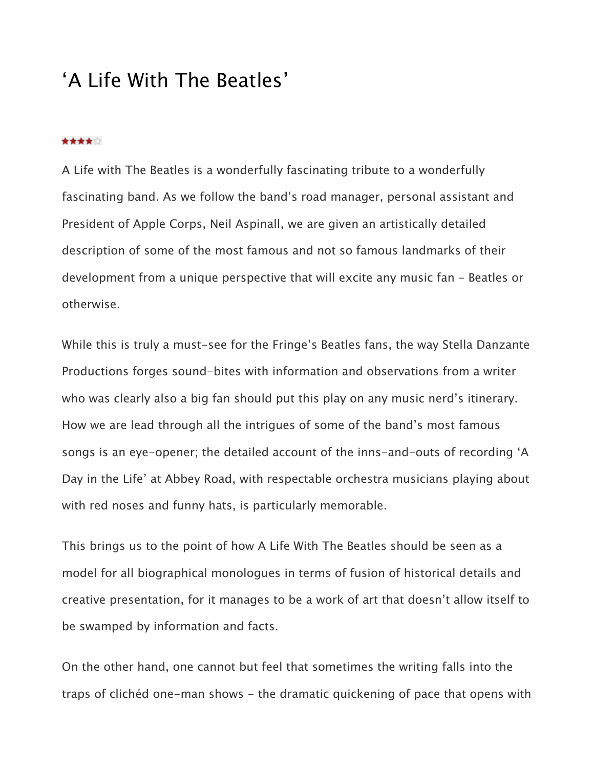## 'A Life With The Beatles'

## \*\*\*\*\*

A Life with The Beatles is a wonderfully fascinating tribute to a wonderfully fascinating band. As we follow the band's road manager, personal assistant and President of Apple Corps, Neil Aspinall, we are given an artistically detailed description of some of the most famous and not so famous landmarks of their development from a unique perspective that will excite any music fan – Beatles or otherwise.

While this is truly a must-see for the Fringe's Beatles fans, the way Stella Danzante Productions forges sound-bites with information and observations from a writer who was clearly also a big fan should put this play on any music nerd's itinerary. How we are lead through all the intrigues of some of the band's most famous songs is an eye-opener; the detailed account of the inns-and-outs of recording 'A Day in the Life' at Abbey Road, with respectable orchestra musicians playing about with red noses and funny hats, is particularly memorable.

This brings us to the point of how A Life With The Beatles should be seen as a model for all biographical monologues in terms of fusion of historical details and creative presentation, for it manages to be a work of art that doesn't allow itself to be swamped by information and facts.

On the other hand, one cannot but feel that sometimes the writing falls into the traps of clichéd one-man shows - the dramatic quickening of pace that opens with